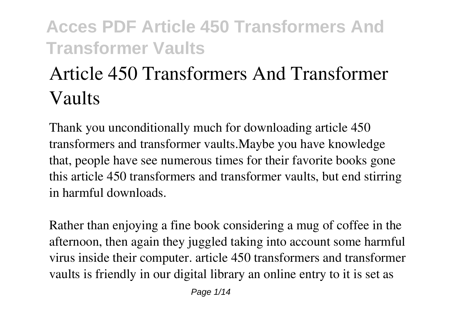# **Article 450 Transformers And Transformer Vaults**

Thank you unconditionally much for downloading **article 450 transformers and transformer vaults**.Maybe you have knowledge that, people have see numerous times for their favorite books gone this article 450 transformers and transformer vaults, but end stirring in harmful downloads.

Rather than enjoying a fine book considering a mug of coffee in the afternoon, then again they juggled taking into account some harmful virus inside their computer. **article 450 transformers and transformer vaults** is friendly in our digital library an online entry to it is set as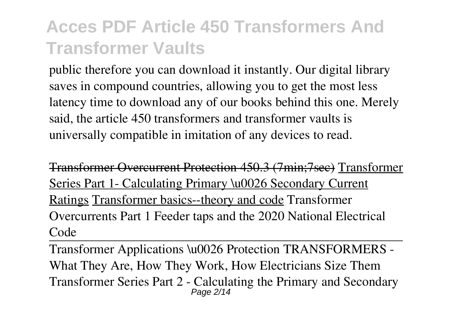public therefore you can download it instantly. Our digital library saves in compound countries, allowing you to get the most less latency time to download any of our books behind this one. Merely said, the article 450 transformers and transformer vaults is universally compatible in imitation of any devices to read.

Transformer Overcurrent Protection 450.3 (7min;7sec) Transformer Series Part 1- Calculating Primary \u0026 Secondary Current Ratings Transformer basics--theory and code Transformer Overcurrents Part 1 Feeder taps and the 2020 National Electrical Code

Transformer Applications \u0026 Protection TRANSFORMERS - What They Are, How They Work, How Electricians Size Them *Transformer Series Part 2 - Calculating the Primary and Secondary* Page 2/14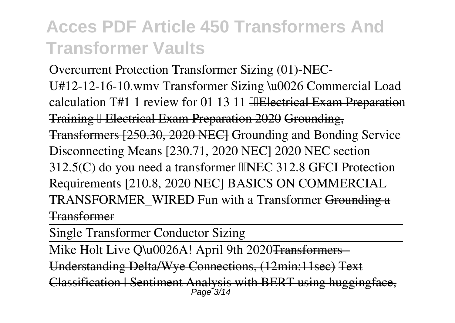*Overcurrent Protection Transformer Sizing (01)-NEC-U#12-12-16-10.wmv Transformer Sizing \u0026 Commercial Load calculation T#1 1 review for 01 13 11 Electrical Exam Preparation* Training ➡ Electrical Exam Preparation 2020 Grounding, Transformers [250.30, 2020 NEC] *Grounding and Bonding Service Disconnecting Means [230.71, 2020 NEC]* **2020 NEC section 312.5(C) do you need a transformer NEC 312.8** *GFCI Protection Requirements [210.8, 2020 NEC] BASICS ON COMMERCIAL TRANSFORMER\_WIRED* Fun with a Transformer Grounding a Transformer

Single Transformer Conductor Sizing

Mike Holt Live O\u0026A! April 9th 2020<del>Transformers</del>

Understanding Delta/Wye Connections, (12min:11sec) Text

Classification | Sentiment Analysis with BERT using huggingface Page 3/14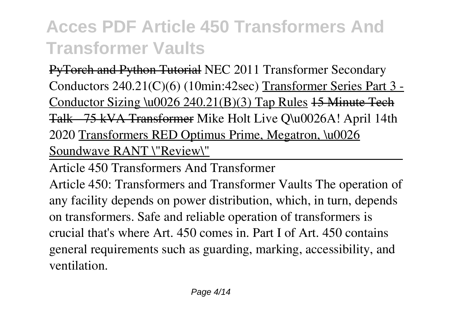PyTorch and Python Tutorial **NEC 2011 Transformer Secondary Conductors 240.21(C)(6) (10min:42sec)** Transformer Series Part 3 - Conductor Sizing \u0026 240.21(B)(3) Tap Rules 15 Minute Tech Talk - 75 kVA Transformer *Mike Holt Live Q\u0026A! April 14th 2020* Transformers RED Optimus Prime, Megatron, \u0026 Soundwave RANT \"Review\"

Article 450 Transformers And Transformer

Article 450: Transformers and Transformer Vaults The operation of any facility depends on power distribution, which, in turn, depends on transformers. Safe and reliable operation of transformers is crucial that's where Art. 450 comes in. Part I of Art. 450 contains general requirements such as guarding, marking, accessibility, and ventilation.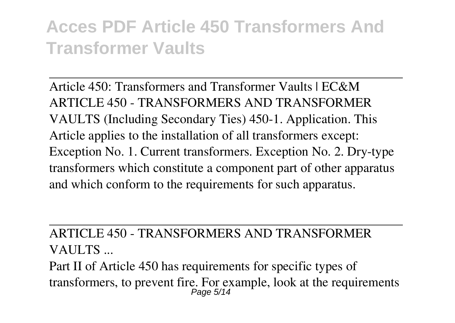Article 450: Transformers and Transformer Vaults | EC&M ARTICLE 450 - TRANSFORMERS AND TRANSFORMER VAULTS (Including Secondary Ties) 450-1. Application. This Article applies to the installation of all transformers except: Exception No. 1. Current transformers. Exception No. 2. Dry-type transformers which constitute a component part of other apparatus and which conform to the requirements for such apparatus.

#### ARTICLE 450 - TRANSFORMERS AND TRANSFORMER VAULTS ...

Part II of Article 450 has requirements for specific types of transformers, to prevent fire. For example, look at the requirements Page 5/14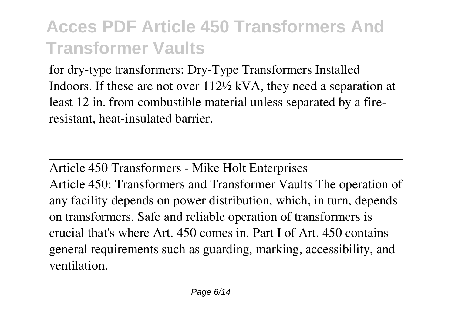for dry-type transformers: Dry-Type Transformers Installed Indoors. If these are not over 112½ kVA, they need a separation at least 12 in. from combustible material unless separated by a fireresistant, heat-insulated barrier.

Article 450 Transformers - Mike Holt Enterprises Article 450: Transformers and Transformer Vaults The operation of any facility depends on power distribution, which, in turn, depends on transformers. Safe and reliable operation of transformers is crucial that's where Art. 450 comes in. Part I of Art. 450 contains general requirements such as guarding, marking, accessibility, and ventilation.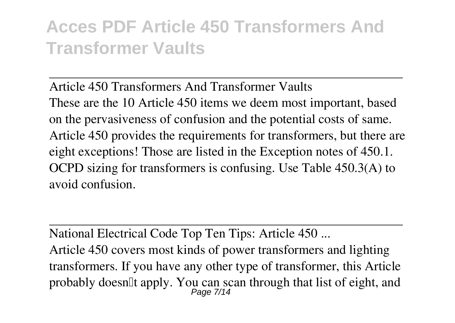Article 450 Transformers And Transformer Vaults These are the 10 Article 450 items we deem most important, based on the pervasiveness of confusion and the potential costs of same. Article 450 provides the requirements for transformers, but there are eight exceptions! Those are listed in the Exception notes of 450.1. OCPD sizing for transformers is confusing. Use Table 450.3(A) to avoid confusion.

National Electrical Code Top Ten Tips: Article 450 ... Article 450 covers most kinds of power transformers and lighting transformers. If you have any other type of transformer, this Article probably doesn't apply. You can scan through that list of eight, and Page 7/14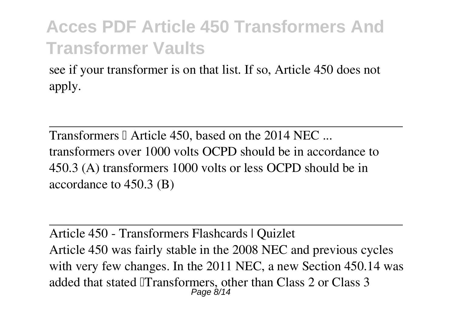see if your transformer is on that list. If so, Article 450 does not apply.

Transformers I Article 450, based on the 2014 NEC ... transformers over 1000 volts OCPD should be in accordance to 450.3 (A) transformers 1000 volts or less OCPD should be in accordance to 450.3 (B)

Article 450 - Transformers Flashcards | Quizlet Article 450 was fairly stable in the 2008 NEC and previous cycles with very few changes. In the 2011 NEC, a new Section 450.14 was added that stated Transformers, other than Class 2 or Class 3 Page 8/14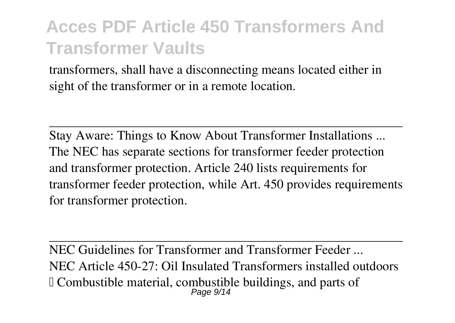transformers, shall have a disconnecting means located either in sight of the transformer or in a remote location.

Stay Aware: Things to Know About Transformer Installations ... The NEC has separate sections for transformer feeder protection and transformer protection. Article 240 lists requirements for transformer feeder protection, while Art. 450 provides requirements for transformer protection.

NEC Guidelines for Transformer and Transformer Feeder NEC Article 450-27: Oil Insulated Transformers installed outdoors – Combustible material, combustible buildings, and parts of Page 9/14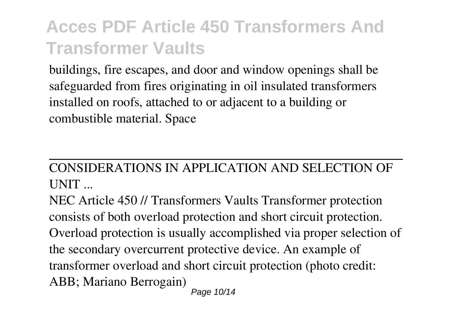buildings, fire escapes, and door and window openings shall be safeguarded from fires originating in oil insulated transformers installed on roofs, attached to or adjacent to a building or combustible material. Space

#### CONSIDERATIONS IN APPLICATION AND SELECTION OF UNIT ...

NEC Article 450 // Transformers Vaults Transformer protection consists of both overload protection and short circuit protection. Overload protection is usually accomplished via proper selection of the secondary overcurrent protective device. An example of transformer overload and short circuit protection (photo credit: ABB; Mariano Berrogain) Page 10/14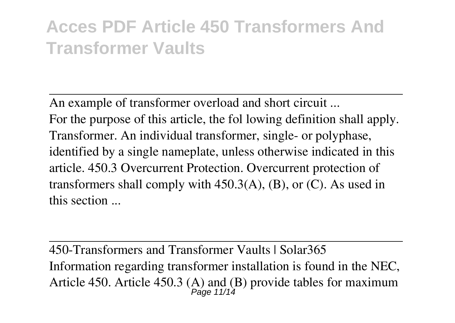An example of transformer overload and short circuit ... For the purpose of this article, the fol lowing definition shall apply. Transformer. An individual transformer, single- or polyphase, identified by a single nameplate, unless otherwise indicated in this article. 450.3 Overcurrent Protection. Overcurrent protection of transformers shall comply with  $450.3(A)$ , (B), or (C). As used in this section ...

450-Transformers and Transformer Vaults | Solar365 Information regarding transformer installation is found in the NEC, Article 450. Article 450.3 (A) and (B) provide tables for maximum<br> $P_{\text{age 11/14}}$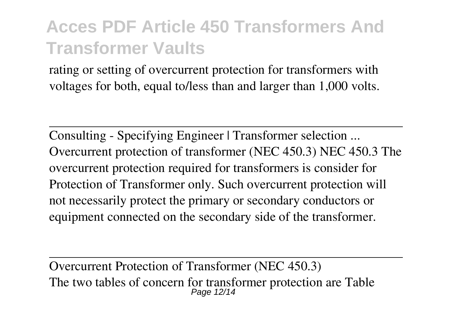rating or setting of overcurrent protection for transformers with voltages for both, equal to/less than and larger than 1,000 volts.

Consulting - Specifying Engineer | Transformer selection ... Overcurrent protection of transformer (NEC 450.3) NEC 450.3 The overcurrent protection required for transformers is consider for Protection of Transformer only. Such overcurrent protection will not necessarily protect the primary or secondary conductors or equipment connected on the secondary side of the transformer.

Overcurrent Protection of Transformer (NEC 450.3) The two tables of concern for transformer protection are Table Page 12/14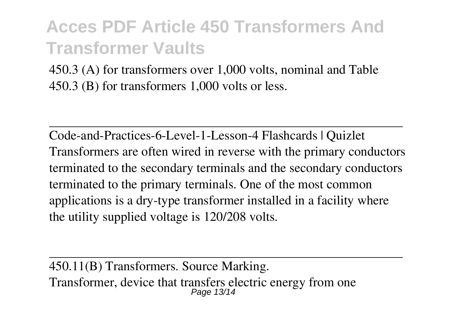450.3 (A) for transformers over 1,000 volts, nominal and Table 450.3 (B) for transformers 1,000 volts or less.

Code-and-Practices-6-Level-1-Lesson-4 Flashcards | Quizlet Transformers are often wired in reverse with the primary conductors terminated to the secondary terminals and the secondary conductors terminated to the primary terminals. One of the most common applications is a dry-type transformer installed in a facility where the utility supplied voltage is 120/208 volts.

450.11(B) Transformers. Source Marking. Transformer, device that transfers electric energy from one Page 13/14